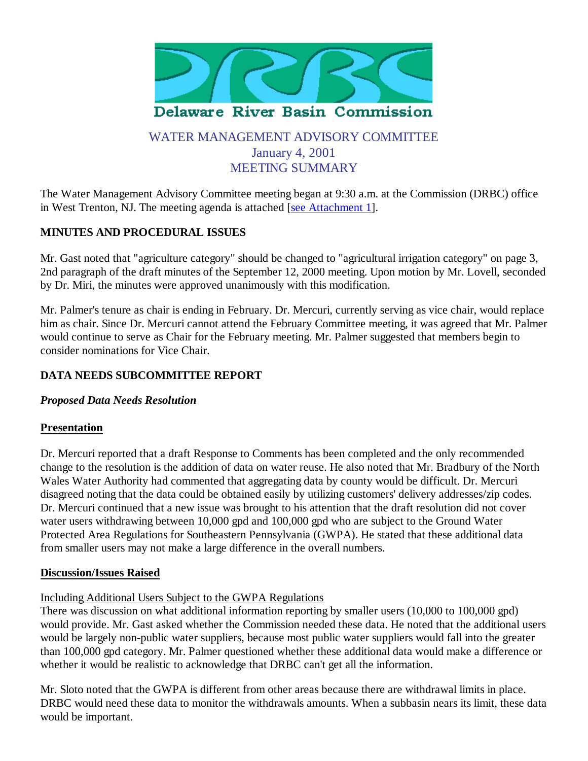

# WATER MANAGEMENT ADVISORY COMMITTEE January 4, 2001 MEETING SUMMARY

The Water Management Advisory Committee meeting began at 9:30 a.m. at the Commission (DRBC) office in West Trenton, NJ. The meeting agenda is attached [see Attachment 1].

# **MINUTES AND PROCEDURAL ISSUES**

Mr. Gast noted that "agriculture category" should be changed to "agricultural irrigation category" on page 3, 2nd paragraph of the draft minutes of the September 12, 2000 meeting. Upon motion by Mr. Lovell, seconded by Dr. Miri, the minutes were approved unanimously with this modification.

Mr. Palmer's tenure as chair is ending in February. Dr. Mercuri, currently serving as vice chair, would replace him as chair. Since Dr. Mercuri cannot attend the February Committee meeting, it was agreed that Mr. Palmer would continue to serve as Chair for the February meeting. Mr. Palmer suggested that members begin to consider nominations for Vice Chair.

### **DATA NEEDS SUBCOMMITTEE REPORT**

### *Proposed Data Needs Resolution*

### **Presentation**

Dr. Mercuri reported that a draft Response to Comments has been completed and the only recommended change to the resolution is the addition of data on water reuse. He also noted that Mr. Bradbury of the North Wales Water Authority had commented that aggregating data by county would be difficult. Dr. Mercuri disagreed noting that the data could be obtained easily by utilizing customers' delivery addresses/zip codes. Dr. Mercuri continued that a new issue was brought to his attention that the draft resolution did not cover water users withdrawing between 10,000 gpd and 100,000 gpd who are subject to the Ground Water Protected Area Regulations for Southeastern Pennsylvania (GWPA). He stated that these additional data from smaller users may not make a large difference in the overall numbers.

### **Discussion/Issues Raised**

Including Additional Users Subject to the GWPA Regulations

There was discussion on what additional information reporting by smaller users (10,000 to 100,000 gpd) would provide. Mr. Gast asked whether the Commission needed these data. He noted that the additional users would be largely non-public water suppliers, because most public water suppliers would fall into the greater than 100,000 gpd category. Mr. Palmer questioned whether these additional data would make a difference or whether it would be realistic to acknowledge that DRBC can't get all the information.

Mr. Sloto noted that the GWPA is different from other areas because there are withdrawal limits in place. DRBC would need these data to monitor the withdrawals amounts. When a subbasin nears its limit, these data would be important.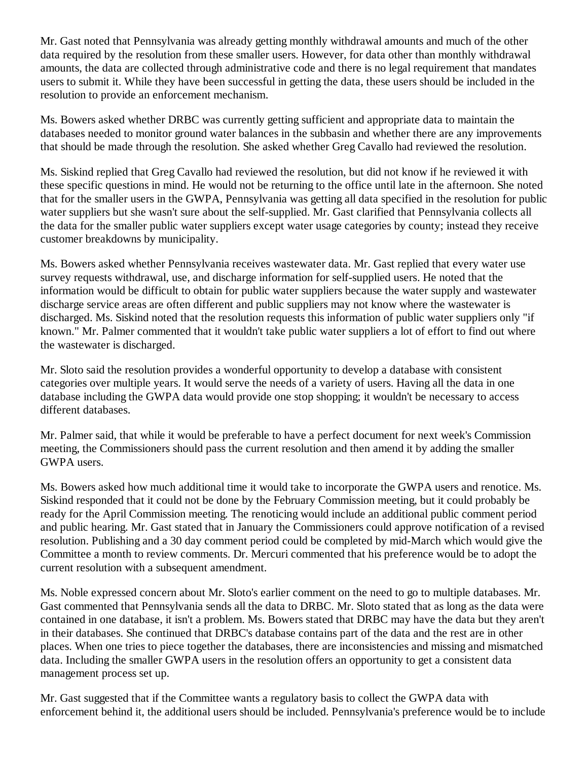Mr. Gast noted that Pennsylvania was already getting monthly withdrawal amounts and much of the other data required by the resolution from these smaller users. However, for data other than monthly withdrawal amounts, the data are collected through administrative code and there is no legal requirement that mandates users to submit it. While they have been successful in getting the data, these users should be included in the resolution to provide an enforcement mechanism.

Ms. Bowers asked whether DRBC was currently getting sufficient and appropriate data to maintain the databases needed to monitor ground water balances in the subbasin and whether there are any improvements that should be made through the resolution. She asked whether Greg Cavallo had reviewed the resolution.

Ms. Siskind replied that Greg Cavallo had reviewed the resolution, but did not know if he reviewed it with these specific questions in mind. He would not be returning to the office until late in the afternoon. She noted that for the smaller users in the GWPA, Pennsylvania was getting all data specified in the resolution for public water suppliers but she wasn't sure about the self-supplied. Mr. Gast clarified that Pennsylvania collects all the data for the smaller public water suppliers except water usage categories by county; instead they receive customer breakdowns by municipality.

Ms. Bowers asked whether Pennsylvania receives wastewater data. Mr. Gast replied that every water use survey requests withdrawal, use, and discharge information for self-supplied users. He noted that the information would be difficult to obtain for public water suppliers because the water supply and wastewater discharge service areas are often different and public suppliers may not know where the wastewater is discharged. Ms. Siskind noted that the resolution requests this information of public water suppliers only "if known." Mr. Palmer commented that it wouldn't take public water suppliers a lot of effort to find out where the wastewater is discharged.

Mr. Sloto said the resolution provides a wonderful opportunity to develop a database with consistent categories over multiple years. It would serve the needs of a variety of users. Having all the data in one database including the GWPA data would provide one stop shopping; it wouldn't be necessary to access different databases.

Mr. Palmer said, that while it would be preferable to have a perfect document for next week's Commission meeting, the Commissioners should pass the current resolution and then amend it by adding the smaller GWPA users.

Ms. Bowers asked how much additional time it would take to incorporate the GWPA users and renotice. Ms. Siskind responded that it could not be done by the February Commission meeting, but it could probably be ready for the April Commission meeting. The renoticing would include an additional public comment period and public hearing. Mr. Gast stated that in January the Commissioners could approve notification of a revised resolution. Publishing and a 30 day comment period could be completed by mid-March which would give the Committee a month to review comments. Dr. Mercuri commented that his preference would be to adopt the current resolution with a subsequent amendment.

Ms. Noble expressed concern about Mr. Sloto's earlier comment on the need to go to multiple databases. Mr. Gast commented that Pennsylvania sends all the data to DRBC. Mr. Sloto stated that as long as the data were contained in one database, it isn't a problem. Ms. Bowers stated that DRBC may have the data but they aren't in their databases. She continued that DRBC's database contains part of the data and the rest are in other places. When one tries to piece together the databases, there are inconsistencies and missing and mismatched data. Including the smaller GWPA users in the resolution offers an opportunity to get a consistent data management process set up.

Mr. Gast suggested that if the Committee wants a regulatory basis to collect the GWPA data with enforcement behind it, the additional users should be included. Pennsylvania's preference would be to include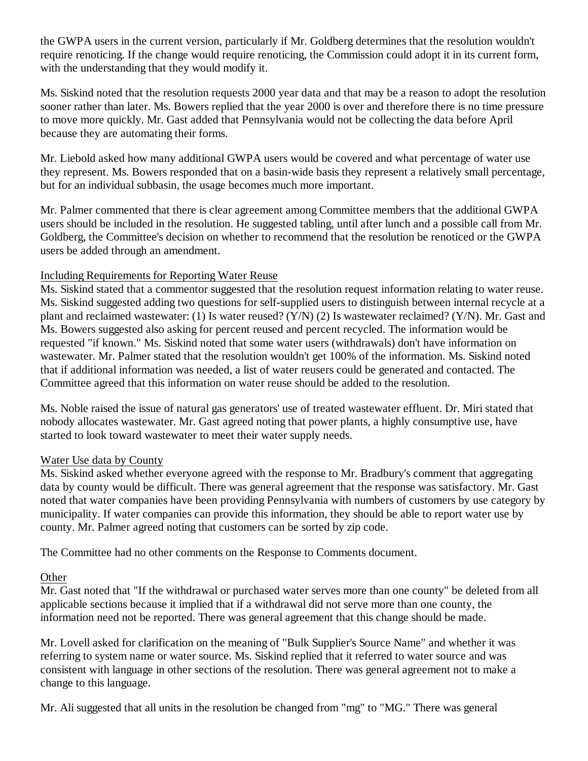the GWPA users in the current version, particularly if Mr. Goldberg determines that the resolution wouldn't require renoticing. If the change would require renoticing, the Commission could adopt it in its current form, with the understanding that they would modify it.

Ms. Siskind noted that the resolution requests 2000 year data and that may be a reason to adopt the resolution sooner rather than later. Ms. Bowers replied that the year 2000 is over and therefore there is no time pressure to move more quickly. Mr. Gast added that Pennsylvania would not be collecting the data before April because they are automating their forms.

Mr. Liebold asked how many additional GWPA users would be covered and what percentage of water use they represent. Ms. Bowers responded that on a basin-wide basis they represent a relatively small percentage, but for an individual subbasin, the usage becomes much more important.

Mr. Palmer commented that there is clear agreement among Committee members that the additional GWPA users should be included in the resolution. He suggested tabling, until after lunch and a possible call from Mr. Goldberg, the Committee's decision on whether to recommend that the resolution be renoticed or the GWPA users be added through an amendment.

### Including Requirements for Reporting Water Reuse

Ms. Siskind stated that a commentor suggested that the resolution request information relating to water reuse. Ms. Siskind suggested adding two questions for self-supplied users to distinguish between internal recycle at a plant and reclaimed wastewater: (1) Is water reused? (Y/N) (2) Is wastewater reclaimed? (Y/N). Mr. Gast and Ms. Bowers suggested also asking for percent reused and percent recycled. The information would be requested "if known." Ms. Siskind noted that some water users (withdrawals) don't have information on wastewater. Mr. Palmer stated that the resolution wouldn't get 100% of the information. Ms. Siskind noted that if additional information was needed, a list of water reusers could be generated and contacted. The Committee agreed that this information on water reuse should be added to the resolution.

Ms. Noble raised the issue of natural gas generators' use of treated wastewater effluent. Dr. Miri stated that nobody allocates wastewater. Mr. Gast agreed noting that power plants, a highly consumptive use, have started to look toward wastewater to meet their water supply needs.

#### Water Use data by County

Ms. Siskind asked whether everyone agreed with the response to Mr. Bradbury's comment that aggregating data by county would be difficult. There was general agreement that the response was satisfactory. Mr. Gast noted that water companies have been providing Pennsylvania with numbers of customers by use category by municipality. If water companies can provide this information, they should be able to report water use by county. Mr. Palmer agreed noting that customers can be sorted by zip code.

The Committee had no other comments on the Response to Comments document.

### **Other**

Mr. Gast noted that "If the withdrawal or purchased water serves more than one county" be deleted from all applicable sections because it implied that if a withdrawal did not serve more than one county, the information need not be reported. There was general agreement that this change should be made.

Mr. Lovell asked for clarification on the meaning of "Bulk Supplier's Source Name" and whether it was referring to system name or water source. Ms. Siskind replied that it referred to water source and was consistent with language in other sections of the resolution. There was general agreement not to make a change to this language.

Mr. Ali suggested that all units in the resolution be changed from "mg" to "MG." There was general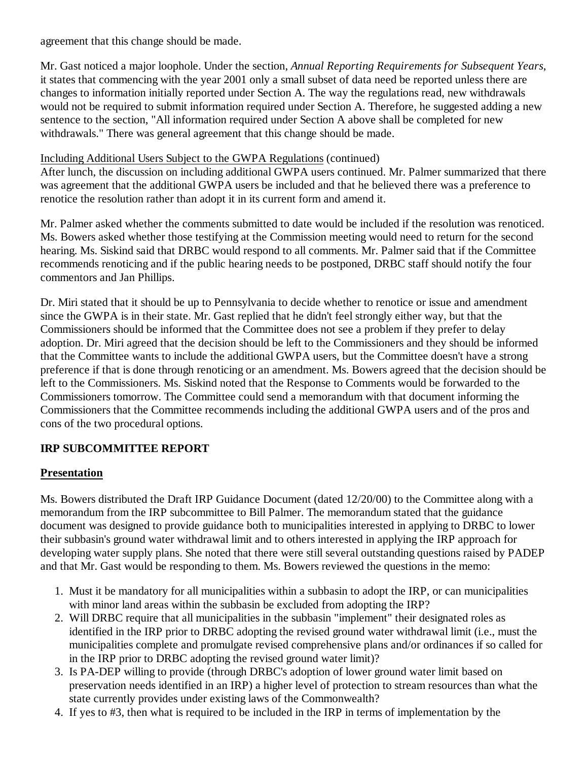agreement that this change should be made.

Mr. Gast noticed a major loophole. Under the section, *Annual Reporting Requirements for Subsequent Years*, it states that commencing with the year 2001 only a small subset of data need be reported unless there are changes to information initially reported under Section A. The way the regulations read, new withdrawals would not be required to submit information required under Section A. Therefore, he suggested adding a new sentence to the section, "All information required under Section A above shall be completed for new withdrawals." There was general agreement that this change should be made.

### Including Additional Users Subject to the GWPA Regulations (continued)

After lunch, the discussion on including additional GWPA users continued. Mr. Palmer summarized that there was agreement that the additional GWPA users be included and that he believed there was a preference to renotice the resolution rather than adopt it in its current form and amend it.

Mr. Palmer asked whether the comments submitted to date would be included if the resolution was renoticed. Ms. Bowers asked whether those testifying at the Commission meeting would need to return for the second hearing. Ms. Siskind said that DRBC would respond to all comments. Mr. Palmer said that if the Committee recommends renoticing and if the public hearing needs to be postponed, DRBC staff should notify the four commentors and Jan Phillips.

Dr. Miri stated that it should be up to Pennsylvania to decide whether to renotice or issue and amendment since the GWPA is in their state. Mr. Gast replied that he didn't feel strongly either way, but that the Commissioners should be informed that the Committee does not see a problem if they prefer to delay adoption. Dr. Miri agreed that the decision should be left to the Commissioners and they should be informed that the Committee wants to include the additional GWPA users, but the Committee doesn't have a strong preference if that is done through renoticing or an amendment. Ms. Bowers agreed that the decision should be left to the Commissioners. Ms. Siskind noted that the Response to Comments would be forwarded to the Commissioners tomorrow. The Committee could send a memorandum with that document informing the Commissioners that the Committee recommends including the additional GWPA users and of the pros and cons of the two procedural options.

# **IRP SUBCOMMITTEE REPORT**

### **Presentation**

Ms. Bowers distributed the Draft IRP Guidance Document (dated 12/20/00) to the Committee along with a memorandum from the IRP subcommittee to Bill Palmer. The memorandum stated that the guidance document was designed to provide guidance both to municipalities interested in applying to DRBC to lower their subbasin's ground water withdrawal limit and to others interested in applying the IRP approach for developing water supply plans. She noted that there were still several outstanding questions raised by PADEP and that Mr. Gast would be responding to them. Ms. Bowers reviewed the questions in the memo:

- Must it be mandatory for all municipalities within a subbasin to adopt the IRP, or can municipalities 1. with minor land areas within the subbasin be excluded from adopting the IRP?
- Will DRBC require that all municipalities in the subbasin "implement" their designated roles as 2. identified in the IRP prior to DRBC adopting the revised ground water withdrawal limit (i.e., must the municipalities complete and promulgate revised comprehensive plans and/or ordinances if so called for in the IRP prior to DRBC adopting the revised ground water limit)?
- 3. Is PA-DEP willing to provide (through DRBC's adoption of lower ground water limit based on preservation needs identified in an IRP) a higher level of protection to stream resources than what the state currently provides under existing laws of the Commonwealth?
- 4. If yes to #3, then what is required to be included in the IRP in terms of implementation by the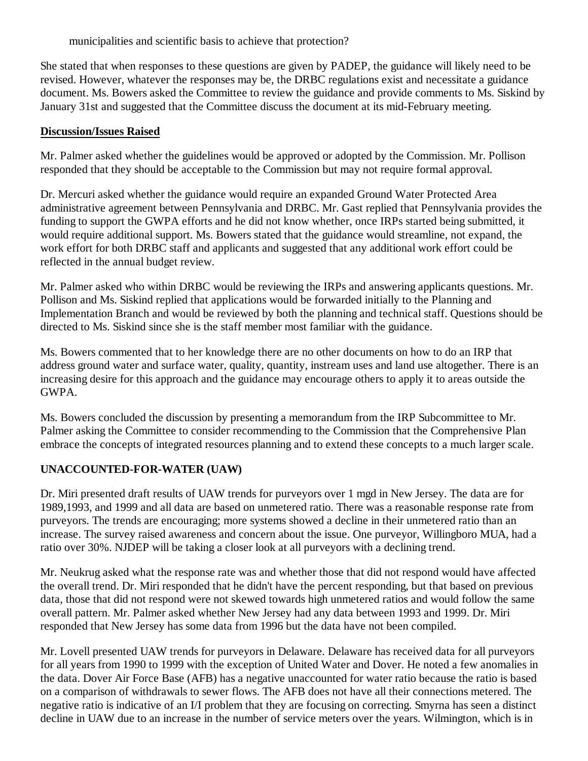municipalities and scientific basis to achieve that protection?

She stated that when responses to these questions are given by PADEP, the guidance will likely need to be revised. However, whatever the responses may be, the DRBC regulations exist and necessitate a guidance document. Ms. Bowers asked the Committee to review the guidance and provide comments to Ms. Siskind by January 31st and suggested that the Committee discuss the document at its mid-February meeting.

### **Discussion/Issues Raised**

Mr. Palmer asked whether the guidelines would be approved or adopted by the Commission. Mr. Pollison responded that they should be acceptable to the Commission but may not require formal approval.

Dr. Mercuri asked whether the guidance would require an expanded Ground Water Protected Area administrative agreement between Pennsylvania and DRBC. Mr. Gast replied that Pennsylvania provides the funding to support the GWPA efforts and he did not know whether, once IRPs started being submitted, it would require additional support. Ms. Bowers stated that the guidance would streamline, not expand, the work effort for both DRBC staff and applicants and suggested that any additional work effort could be reflected in the annual budget review.

Mr. Palmer asked who within DRBC would be reviewing the IRPs and answering applicants questions. Mr. Pollison and Ms. Siskind replied that applications would be forwarded initially to the Planning and Implementation Branch and would be reviewed by both the planning and technical staff. Questions should be directed to Ms. Siskind since she is the staff member most familiar with the guidance.

Ms. Bowers commented that to her knowledge there are no other documents on how to do an IRP that address ground water and surface water, quality, quantity, instream uses and land use altogether. There is an increasing desire for this approach and the guidance may encourage others to apply it to areas outside the GWPA.

Ms. Bowers concluded the discussion by presenting a memorandum from the IRP Subcommittee to Mr. Palmer asking the Committee to consider recommending to the Commission that the Comprehensive Plan embrace the concepts of integrated resources planning and to extend these concepts to a much larger scale.

# **UNACCOUNTED-FOR-WATER (UAW)**

Dr. Miri presented draft results of UAW trends for purveyors over 1 mgd in New Jersey. The data are for 1989,1993, and 1999 and all data are based on unmetered ratio. There was a reasonable response rate from purveyors. The trends are encouraging; more systems showed a decline in their unmetered ratio than an increase. The survey raised awareness and concern about the issue. One purveyor, Willingboro MUA, had a ratio over 30%. NJDEP will be taking a closer look at all purveyors with a declining trend.

Mr. Neukrug asked what the response rate was and whether those that did not respond would have affected the overall trend. Dr. Miri responded that he didn't have the percent responding, but that based on previous data, those that did not respond were not skewed towards high unmetered ratios and would follow the same overall pattern. Mr. Palmer asked whether New Jersey had any data between 1993 and 1999. Dr. Miri responded that New Jersey has some data from 1996 but the data have not been compiled.

Mr. Lovell presented UAW trends for purveyors in Delaware. Delaware has received data for all purveyors for all years from 1990 to 1999 with the exception of United Water and Dover. He noted a few anomalies in the data. Dover Air Force Base (AFB) has a negative unaccounted for water ratio because the ratio is based on a comparison of withdrawals to sewer flows. The AFB does not have all their connections metered. The negative ratio is indicative of an I/I problem that they are focusing on correcting. Smyrna has seen a distinct decline in UAW due to an increase in the number of service meters over the years. Wilmington, which is in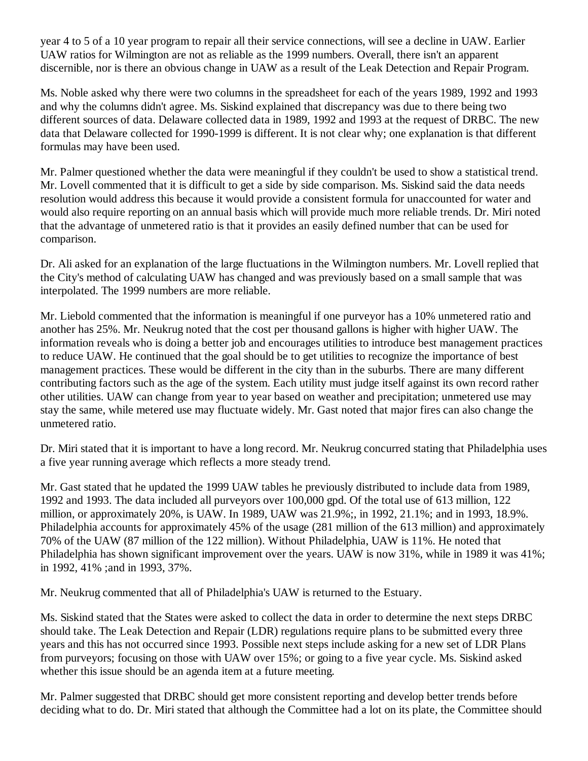year 4 to 5 of a 10 year program to repair all their service connections, will see a decline in UAW. Earlier UAW ratios for Wilmington are not as reliable as the 1999 numbers. Overall, there isn't an apparent discernible, nor is there an obvious change in UAW as a result of the Leak Detection and Repair Program.

Ms. Noble asked why there were two columns in the spreadsheet for each of the years 1989, 1992 and 1993 and why the columns didn't agree. Ms. Siskind explained that discrepancy was due to there being two different sources of data. Delaware collected data in 1989, 1992 and 1993 at the request of DRBC. The new data that Delaware collected for 1990-1999 is different. It is not clear why; one explanation is that different formulas may have been used.

Mr. Palmer questioned whether the data were meaningful if they couldn't be used to show a statistical trend. Mr. Lovell commented that it is difficult to get a side by side comparison. Ms. Siskind said the data needs resolution would address this because it would provide a consistent formula for unaccounted for water and would also require reporting on an annual basis which will provide much more reliable trends. Dr. Miri noted that the advantage of unmetered ratio is that it provides an easily defined number that can be used for comparison.

Dr. Ali asked for an explanation of the large fluctuations in the Wilmington numbers. Mr. Lovell replied that the City's method of calculating UAW has changed and was previously based on a small sample that was interpolated. The 1999 numbers are more reliable.

Mr. Liebold commented that the information is meaningful if one purveyor has a 10% unmetered ratio and another has 25%. Mr. Neukrug noted that the cost per thousand gallons is higher with higher UAW. The information reveals who is doing a better job and encourages utilities to introduce best management practices to reduce UAW. He continued that the goal should be to get utilities to recognize the importance of best management practices. These would be different in the city than in the suburbs. There are many different contributing factors such as the age of the system. Each utility must judge itself against its own record rather other utilities. UAW can change from year to year based on weather and precipitation; unmetered use may stay the same, while metered use may fluctuate widely. Mr. Gast noted that major fires can also change the unmetered ratio.

Dr. Miri stated that it is important to have a long record. Mr. Neukrug concurred stating that Philadelphia uses a five year running average which reflects a more steady trend.

Mr. Gast stated that he updated the 1999 UAW tables he previously distributed to include data from 1989, 1992 and 1993. The data included all purveyors over 100,000 gpd. Of the total use of 613 million, 122 million, or approximately 20%, is UAW. In 1989, UAW was 21.9%;, in 1992, 21.1%; and in 1993, 18.9%. Philadelphia accounts for approximately 45% of the usage (281 million of the 613 million) and approximately 70% of the UAW (87 million of the 122 million). Without Philadelphia, UAW is 11%. He noted that Philadelphia has shown significant improvement over the years. UAW is now 31%, while in 1989 it was 41%; in 1992, 41% ;and in 1993, 37%.

Mr. Neukrug commented that all of Philadelphia's UAW is returned to the Estuary.

Ms. Siskind stated that the States were asked to collect the data in order to determine the next steps DRBC should take. The Leak Detection and Repair (LDR) regulations require plans to be submitted every three years and this has not occurred since 1993. Possible next steps include asking for a new set of LDR Plans from purveyors; focusing on those with UAW over 15%; or going to a five year cycle. Ms. Siskind asked whether this issue should be an agenda item at a future meeting.

Mr. Palmer suggested that DRBC should get more consistent reporting and develop better trends before deciding what to do. Dr. Miri stated that although the Committee had a lot on its plate, the Committee should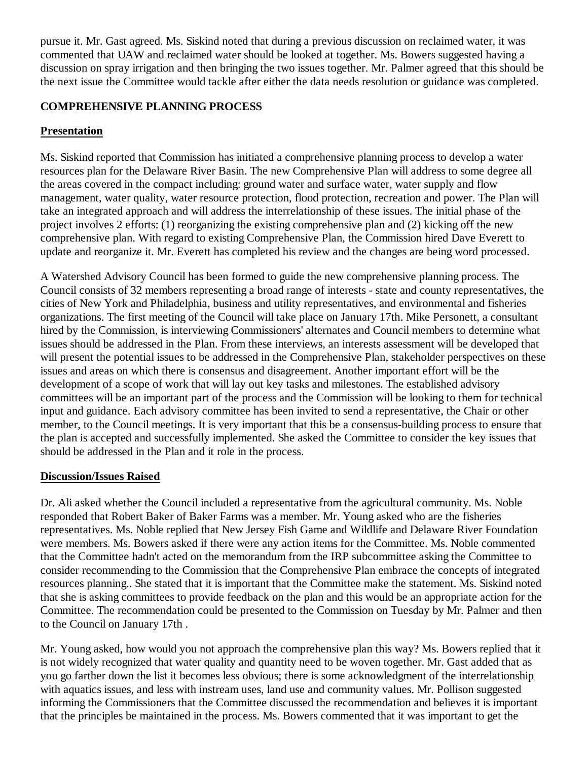pursue it. Mr. Gast agreed. Ms. Siskind noted that during a previous discussion on reclaimed water, it was commented that UAW and reclaimed water should be looked at together. Ms. Bowers suggested having a discussion on spray irrigation and then bringing the two issues together. Mr. Palmer agreed that this should be the next issue the Committee would tackle after either the data needs resolution or guidance was completed.

### **COMPREHENSIVE PLANNING PROCESS**

### **Presentation**

Ms. Siskind reported that Commission has initiated a comprehensive planning process to develop a water resources plan for the Delaware River Basin. The new Comprehensive Plan will address to some degree all the areas covered in the compact including: ground water and surface water, water supply and flow management, water quality, water resource protection, flood protection, recreation and power. The Plan will take an integrated approach and will address the interrelationship of these issues. The initial phase of the project involves 2 efforts: (1) reorganizing the existing comprehensive plan and (2) kicking off the new comprehensive plan. With regard to existing Comprehensive Plan, the Commission hired Dave Everett to update and reorganize it. Mr. Everett has completed his review and the changes are being word processed.

A Watershed Advisory Council has been formed to guide the new comprehensive planning process. The Council consists of 32 members representing a broad range of interests - state and county representatives, the cities of New York and Philadelphia, business and utility representatives, and environmental and fisheries organizations. The first meeting of the Council will take place on January 17th. Mike Personett, a consultant hired by the Commission, is interviewing Commissioners' alternates and Council members to determine what issues should be addressed in the Plan. From these interviews, an interests assessment will be developed that will present the potential issues to be addressed in the Comprehensive Plan, stakeholder perspectives on these issues and areas on which there is consensus and disagreement. Another important effort will be the development of a scope of work that will lay out key tasks and milestones. The established advisory committees will be an important part of the process and the Commission will be looking to them for technical input and guidance. Each advisory committee has been invited to send a representative, the Chair or other member, to the Council meetings. It is very important that this be a consensus-building process to ensure that the plan is accepted and successfully implemented. She asked the Committee to consider the key issues that should be addressed in the Plan and it role in the process.

### **Discussion/Issues Raised**

Dr. Ali asked whether the Council included a representative from the agricultural community. Ms. Noble responded that Robert Baker of Baker Farms was a member. Mr. Young asked who are the fisheries representatives. Ms. Noble replied that New Jersey Fish Game and Wildlife and Delaware River Foundation were members. Ms. Bowers asked if there were any action items for the Committee. Ms. Noble commented that the Committee hadn't acted on the memorandum from the IRP subcommittee asking the Committee to consider recommending to the Commission that the Comprehensive Plan embrace the concepts of integrated resources planning.. She stated that it is important that the Committee make the statement. Ms. Siskind noted that she is asking committees to provide feedback on the plan and this would be an appropriate action for the Committee. The recommendation could be presented to the Commission on Tuesday by Mr. Palmer and then to the Council on January 17th .

Mr. Young asked, how would you not approach the comprehensive plan this way? Ms. Bowers replied that it is not widely recognized that water quality and quantity need to be woven together. Mr. Gast added that as you go farther down the list it becomes less obvious; there is some acknowledgment of the interrelationship with aquatics issues, and less with instream uses, land use and community values. Mr. Pollison suggested informing the Commissioners that the Committee discussed the recommendation and believes it is important that the principles be maintained in the process. Ms. Bowers commented that it was important to get the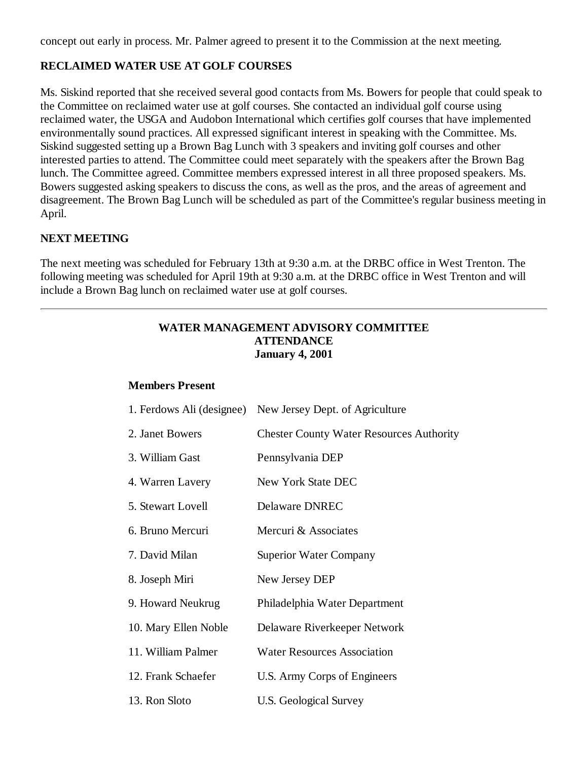concept out early in process. Mr. Palmer agreed to present it to the Commission at the next meeting.

### **RECLAIMED WATER USE AT GOLF COURSES**

Ms. Siskind reported that she received several good contacts from Ms. Bowers for people that could speak to the Committee on reclaimed water use at golf courses. She contacted an individual golf course using reclaimed water, the USGA and Audobon International which certifies golf courses that have implemented environmentally sound practices. All expressed significant interest in speaking with the Committee. Ms. Siskind suggested setting up a Brown Bag Lunch with 3 speakers and inviting golf courses and other interested parties to attend. The Committee could meet separately with the speakers after the Brown Bag lunch. The Committee agreed. Committee members expressed interest in all three proposed speakers. Ms. Bowers suggested asking speakers to discuss the cons, as well as the pros, and the areas of agreement and disagreement. The Brown Bag Lunch will be scheduled as part of the Committee's regular business meeting in April.

### **NEXT MEETING**

The next meeting was scheduled for February 13th at 9:30 a.m. at the DRBC office in West Trenton. The following meeting was scheduled for April 19th at 9:30 a.m. at the DRBC office in West Trenton and will include a Brown Bag lunch on reclaimed water use at golf courses.

### **WATER MANAGEMENT ADVISORY COMMITTEE ATTENDANCE January 4, 2001**

### **Members Present**

| 1. Ferdows Ali (designee) | New Jersey Dept. of Agriculture                 |
|---------------------------|-------------------------------------------------|
| 2. Janet Bowers           | <b>Chester County Water Resources Authority</b> |
| 3. William Gast           | Pennsylvania DEP                                |
| 4. Warren Lavery          | New York State DEC                              |
| 5. Stewart Lovell         | <b>Delaware DNREC</b>                           |
| 6. Bruno Mercuri          | Mercuri & Associates                            |
| 7. David Milan            | <b>Superior Water Company</b>                   |
| 8. Joseph Miri            | New Jersey DEP                                  |
| 9. Howard Neukrug         | Philadelphia Water Department                   |
| 10. Mary Ellen Noble      | Delaware Riverkeeper Network                    |
| 11. William Palmer        | <b>Water Resources Association</b>              |
| 12. Frank Schaefer        | U.S. Army Corps of Engineers                    |
| 13. Ron Sloto             | U.S. Geological Survey                          |